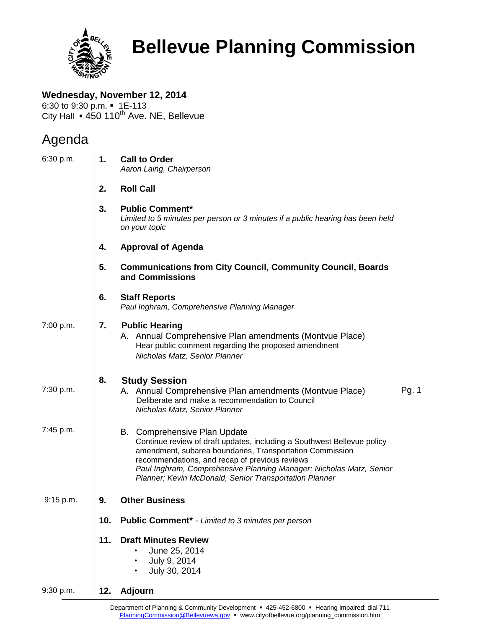

# **Bellevue Planning Commission**

### **Wednesday, November 12, 2014** 6:30 to 9:30 p.m. 1E-113

City Hall  $\cdot$  450 110<sup>th</sup> Ave. NE, Bellevue

## Agenda

| 6:30 p.m. | 1.  | <b>Call to Order</b><br>Aaron Laing, Chairperson                                                                                                                                                                                                                                                                                                       |       |
|-----------|-----|--------------------------------------------------------------------------------------------------------------------------------------------------------------------------------------------------------------------------------------------------------------------------------------------------------------------------------------------------------|-------|
|           | 2.  | <b>Roll Call</b>                                                                                                                                                                                                                                                                                                                                       |       |
|           | 3.  | <b>Public Comment*</b><br>Limited to 5 minutes per person or 3 minutes if a public hearing has been held<br>on your topic                                                                                                                                                                                                                              |       |
|           | 4.  | <b>Approval of Agenda</b>                                                                                                                                                                                                                                                                                                                              |       |
|           | 5.  | <b>Communications from City Council, Community Council, Boards</b><br>and Commissions                                                                                                                                                                                                                                                                  |       |
|           | 6.  | <b>Staff Reports</b><br>Paul Inghram, Comprehensive Planning Manager                                                                                                                                                                                                                                                                                   |       |
| 7:00 p.m. | 7.  | <b>Public Hearing</b><br>A. Annual Comprehensive Plan amendments (Montvue Place)<br>Hear public comment regarding the proposed amendment<br>Nicholas Matz, Senior Planner                                                                                                                                                                              |       |
| 7:30 p.m. | 8.  | <b>Study Session</b><br>A. Annual Comprehensive Plan amendments (Montvue Place)<br>Deliberate and make a recommendation to Council<br>Nicholas Matz, Senior Planner                                                                                                                                                                                    | Pg. 1 |
| 7:45 p.m. |     | B. Comprehensive Plan Update<br>Continue review of draft updates, including a Southwest Bellevue policy<br>amendment, subarea boundaries, Transportation Commission<br>recommendations, and recap of previous reviews<br>Paul Inghram, Comprehensive Planning Manager; Nicholas Matz, Senior<br>Planner; Kevin McDonald, Senior Transportation Planner |       |
| 9:15 p.m. | 9.  | <b>Other Business</b>                                                                                                                                                                                                                                                                                                                                  |       |
|           | 10. | <b>Public Comment*</b> - Limited to 3 minutes per person                                                                                                                                                                                                                                                                                               |       |
|           | 11. | <b>Draft Minutes Review</b><br>June 25, 2014<br>July 9, 2014<br>July 30, 2014                                                                                                                                                                                                                                                                          |       |
| 9:30 p.m. | 12. | <b>Adjourn</b>                                                                                                                                                                                                                                                                                                                                         |       |